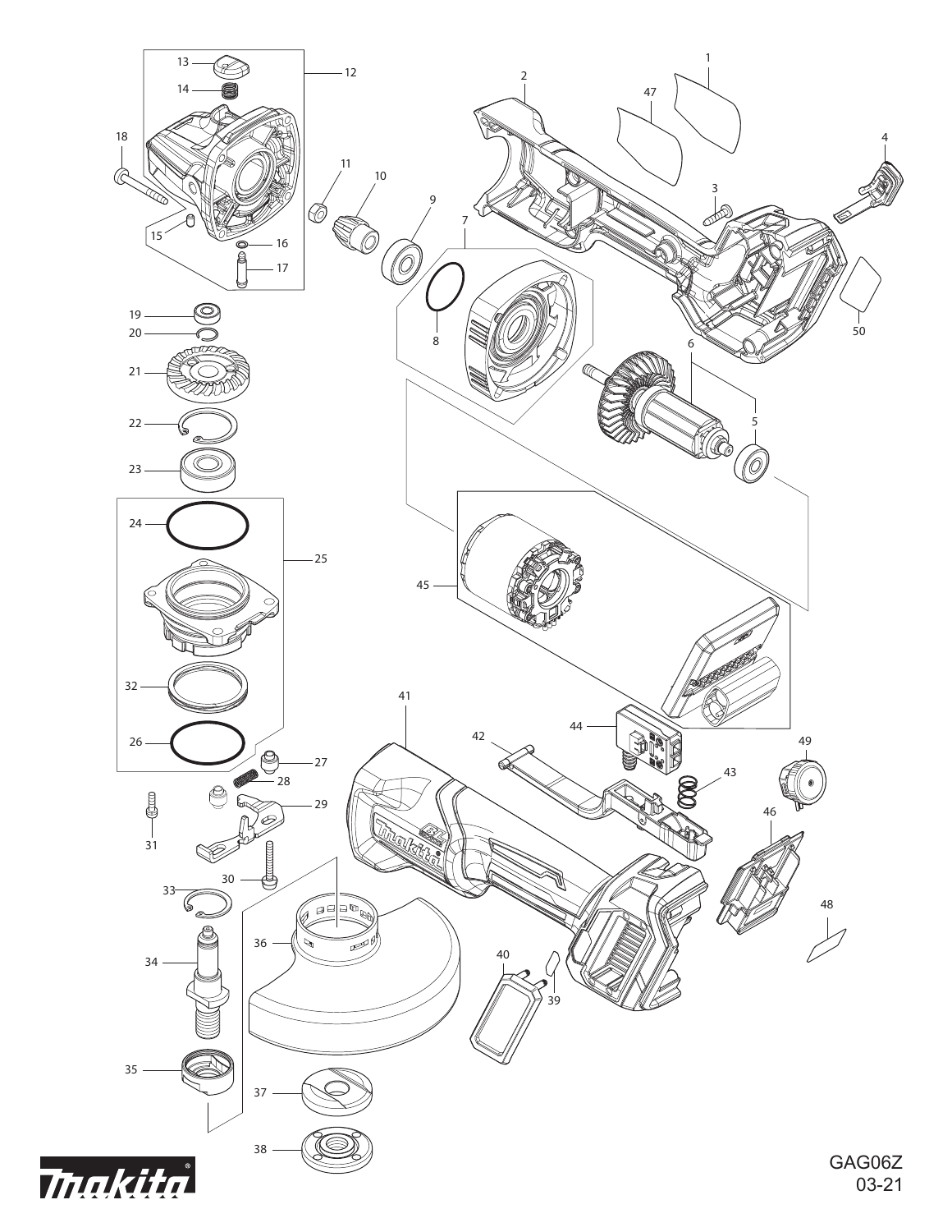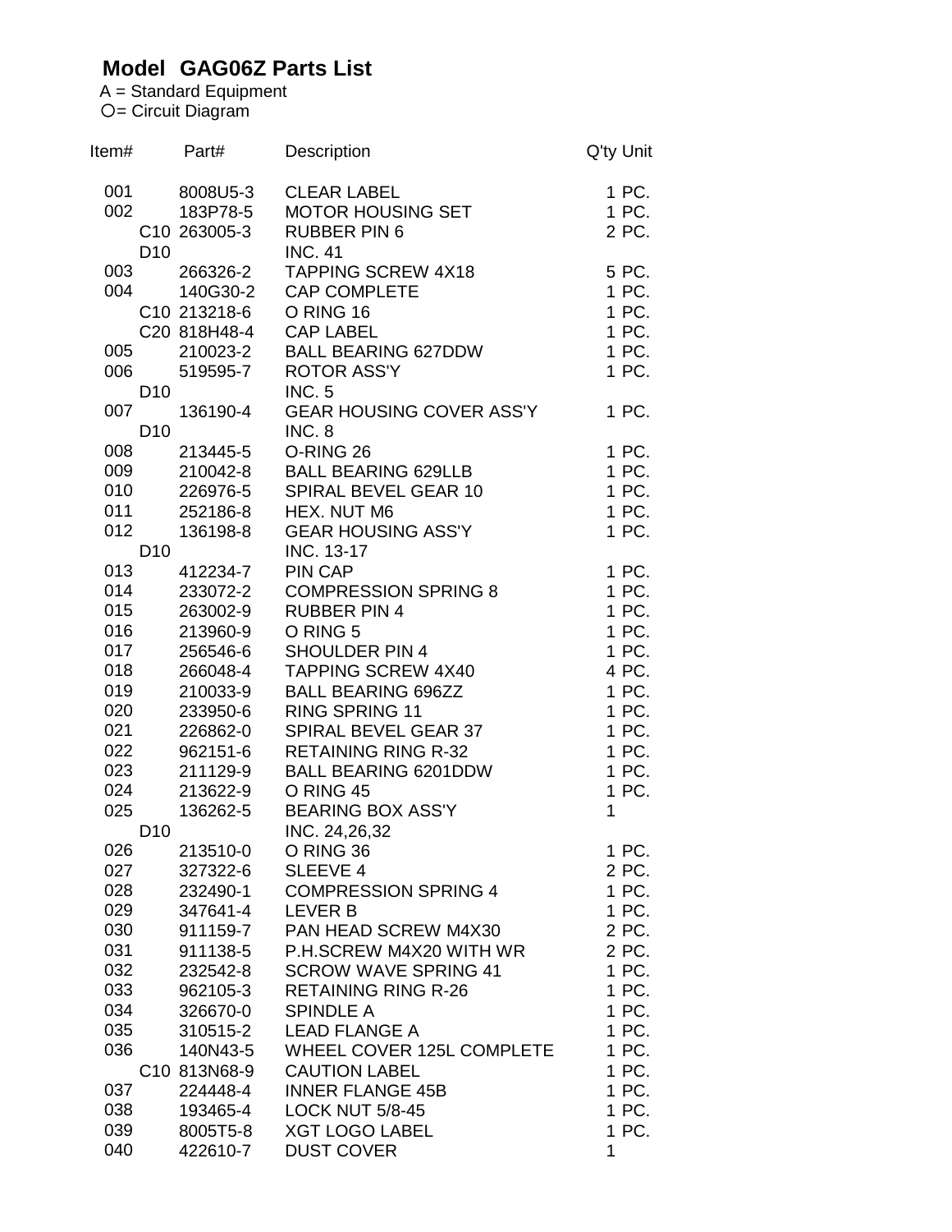## **Model GAG06Z Parts List**

A = Standard Equipment = Circuit Diagram

| Item# |                 | Part#        | Description                     | Q'ty Unit |
|-------|-----------------|--------------|---------------------------------|-----------|
| 001   |                 | 8008U5-3     | <b>CLEAR LABEL</b>              | 1 PC.     |
| 002   |                 | 183P78-5     | MOTOR HOUSING SET               | 1 PC.     |
|       |                 | C10 263005-3 | <b>RUBBER PIN 6</b>             | 2 PC.     |
|       | D <sub>10</sub> |              | <b>INC. 41</b>                  |           |
| 003   |                 | 266326-2     | <b>TAPPING SCREW 4X18</b>       | 5 PC.     |
| 004   |                 | 140G30-2     | <b>CAP COMPLETE</b>             | 1 PC.     |
|       |                 | C10 213218-6 | O RING 16                       | 1 PC.     |
|       |                 | C20 818H48-4 | <b>CAP LABEL</b>                | 1 PC.     |
| 005   |                 |              | 210023-2 BALL BEARING 627DDW    | 1 PC.     |
|       | 006 00          | 519595-7     | <b>ROTOR ASS'Y</b>              | 1 PC.     |
|       | D <sub>10</sub> |              | <b>INC. 5</b>                   |           |
| 007   |                 | 136190-4     | <b>GEAR HOUSING COVER ASS'Y</b> | 1 PC.     |
|       | D <sub>10</sub> |              | INC. 8                          |           |
| 008   |                 | 213445-5     | O-RING 26                       | 1 PC.     |
| 009   |                 | 210042-8     | <b>BALL BEARING 629LLB</b>      | 1 PC.     |
| 010   |                 | 226976-5     | SPIRAL BEVEL GEAR 10            | 1 PC.     |
| 011   |                 | 252186-8     | HEX. NUT M6                     | 1 PC.     |
| 012   |                 | 136198-8     | <b>GEAR HOUSING ASS'Y</b>       | 1 PC.     |
|       | D <sub>10</sub> |              | INC. 13-17                      |           |
| 013   |                 | 412234-7     | PIN CAP                         | 1 PC.     |
| 014   |                 | 233072-2     | <b>COMPRESSION SPRING 8</b>     | 1 PC.     |
| 015   |                 | 263002-9     | <b>RUBBER PIN 4</b>             | 1 PC.     |
| 016   |                 | 213960-9     | O RING 5                        | 1 PC.     |
| 017   |                 | 256546-6     | <b>SHOULDER PIN 4</b>           | 1 PC.     |
| 018   |                 | 266048-4     | <b>TAPPING SCREW 4X40</b>       | 4 PC.     |
| 019   |                 | 210033-9     | <b>BALL BEARING 696ZZ</b>       | 1 PC.     |
| 020   |                 | 233950-6     | <b>RING SPRING 11</b>           | 1 PC.     |
| 021   |                 | 226862-0     | SPIRAL BEVEL GEAR 37            | 1 PC.     |
| 022   |                 | 962151-6     | <b>RETAINING RING R-32</b>      | 1 PC.     |
| 023   |                 | 211129-9     | <b>BALL BEARING 6201DDW</b>     | 1 PC.     |
| 024   |                 | 213622-9     | O RING 45                       | 1 PC.     |
| 025   |                 | 136262-5     | <b>BEARING BOX ASS'Y</b>        | 1         |
|       | D <sub>10</sub> |              | INC. 24,26,32                   |           |
| 026   |                 | 213510-0     | O RING 36                       | 1 PC.     |
| 027   |                 | 327322-6     | SLEEVE 4                        | 2 PC.     |
| 028   |                 | 232490-1     | <b>COMPRESSION SPRING 4</b>     | 1 PC.     |
| 029   |                 | 347641-4     | <b>LEVER B</b>                  | 1 PC.     |
| 030   |                 | 911159-7     | PAN HEAD SCREW M4X30            | 2 PC.     |
| 031   |                 | 911138-5     | P.H.SCREW M4X20 WITH WR         | 2 PC.     |
| 032   |                 | 232542-8     | <b>SCROW WAVE SPRING 41</b>     | 1 PC.     |
| 033   |                 | 962105-3     | <b>RETAINING RING R-26</b>      | 1 PC.     |
| 034   |                 | 326670-0     | <b>SPINDLE A</b>                | 1 PC.     |
| 035   |                 | 310515-2     | <b>LEAD FLANGE A</b>            | 1 PC.     |
| 036   |                 | 140N43-5     | WHEEL COVER 125L COMPLETE       | 1 PC.     |
|       |                 | C10 813N68-9 | <b>CAUTION LABEL</b>            | 1 PC.     |
| 037   |                 | 224448-4     | <b>INNER FLANGE 45B</b>         | 1 PC.     |
| 038   |                 | 193465-4     | <b>LOCK NUT 5/8-45</b>          | 1 PC.     |
| 039   |                 | 8005T5-8     | <b>XGT LOGO LABEL</b>           | 1 PC.     |
| 040   |                 | 422610-7     | <b>DUST COVER</b>               | 1         |
|       |                 |              |                                 |           |